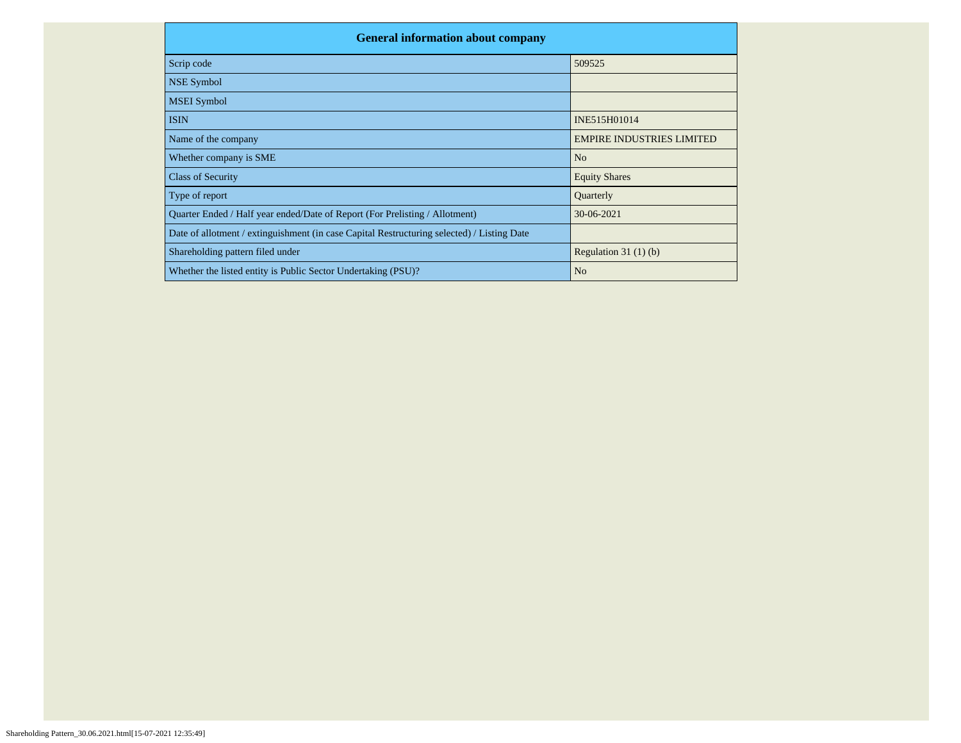| <b>General information about company</b>                                                   |                                  |  |  |  |  |  |  |  |
|--------------------------------------------------------------------------------------------|----------------------------------|--|--|--|--|--|--|--|
| Scrip code                                                                                 | 509525                           |  |  |  |  |  |  |  |
| <b>NSE Symbol</b>                                                                          |                                  |  |  |  |  |  |  |  |
| <b>MSEI</b> Symbol                                                                         |                                  |  |  |  |  |  |  |  |
| <b>ISIN</b>                                                                                | INE515H01014                     |  |  |  |  |  |  |  |
| Name of the company                                                                        | <b>EMPIRE INDUSTRIES LIMITED</b> |  |  |  |  |  |  |  |
| Whether company is SME                                                                     | N <sub>o</sub>                   |  |  |  |  |  |  |  |
| <b>Class of Security</b>                                                                   | <b>Equity Shares</b>             |  |  |  |  |  |  |  |
| Type of report                                                                             | Quarterly                        |  |  |  |  |  |  |  |
| Quarter Ended / Half year ended/Date of Report (For Prelisting / Allotment)                | 30-06-2021                       |  |  |  |  |  |  |  |
| Date of allotment / extinguishment (in case Capital Restructuring selected) / Listing Date |                                  |  |  |  |  |  |  |  |
| Shareholding pattern filed under                                                           | Regulation $31(1)(b)$            |  |  |  |  |  |  |  |
| Whether the listed entity is Public Sector Undertaking (PSU)?                              | N <sub>o</sub>                   |  |  |  |  |  |  |  |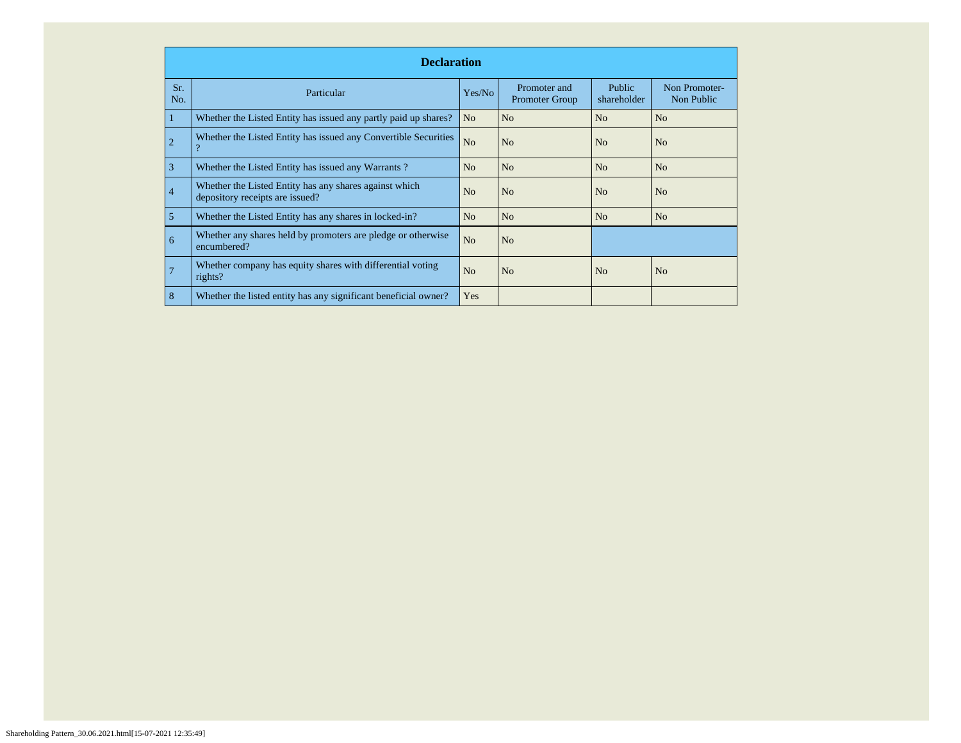|                | <b>Declaration</b>                                                                        |                |                                       |                       |                             |  |  |  |  |  |  |
|----------------|-------------------------------------------------------------------------------------------|----------------|---------------------------------------|-----------------------|-----------------------------|--|--|--|--|--|--|
| Sr.<br>No.     | Particular                                                                                | Yes/No         | Promoter and<br><b>Promoter Group</b> | Public<br>shareholder | Non Promoter-<br>Non Public |  |  |  |  |  |  |
|                | Whether the Listed Entity has issued any partly paid up shares?                           | N <sub>o</sub> | No                                    | N <sub>o</sub>        | N <sub>o</sub>              |  |  |  |  |  |  |
| $\overline{2}$ | Whether the Listed Entity has issued any Convertible Securities<br>$\overline{\cdot}$     | N <sub>o</sub> | N <sub>o</sub>                        | N <sub>o</sub>        | N <sub>o</sub>              |  |  |  |  |  |  |
| 3              | Whether the Listed Entity has issued any Warrants?                                        | N <sub>o</sub> | N <sub>o</sub>                        | N <sub>o</sub>        | N <sub>o</sub>              |  |  |  |  |  |  |
| $\overline{4}$ | Whether the Listed Entity has any shares against which<br>depository receipts are issued? | N <sub>o</sub> | N <sub>o</sub>                        | N <sub>o</sub>        | N <sub>o</sub>              |  |  |  |  |  |  |
| 5              | Whether the Listed Entity has any shares in locked-in?                                    | N <sub>o</sub> | N <sub>o</sub>                        | N <sub>o</sub>        | N <sub>o</sub>              |  |  |  |  |  |  |
| 6              | Whether any shares held by promoters are pledge or otherwise<br>encumbered?               | N <sub>o</sub> | N <sub>o</sub>                        |                       |                             |  |  |  |  |  |  |
|                | Whether company has equity shares with differential voting<br>rights?                     | N <sub>0</sub> | N <sub>0</sub>                        | N <sub>o</sub>        | N <sub>o</sub>              |  |  |  |  |  |  |
| 8              | Whether the listed entity has any significant beneficial owner?                           | Yes            |                                       |                       |                             |  |  |  |  |  |  |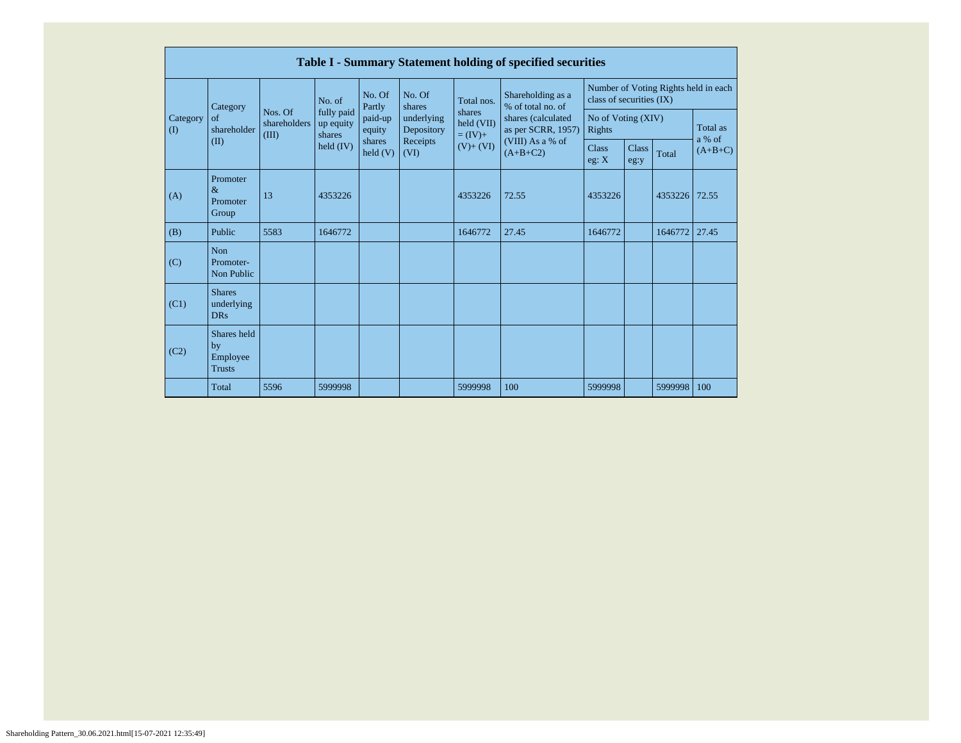|                          |                                                |                                  |                                                  |                                        |                                                                  |                                    | <b>Table I - Summary Statement holding of specified securities</b> |                                                                  |                      |                    |           |
|--------------------------|------------------------------------------------|----------------------------------|--------------------------------------------------|----------------------------------------|------------------------------------------------------------------|------------------------------------|--------------------------------------------------------------------|------------------------------------------------------------------|----------------------|--------------------|-----------|
|                          | Category                                       |                                  | No. of                                           | No. Of<br>Partly                       | No. Of<br>shares<br>underlying<br>Depository<br>Receipts<br>(VI) | Total nos.                         | Shareholding as a<br>% of total no. of                             | Number of Voting Rights held in each<br>class of securities (IX) |                      |                    |           |
| Category<br>$($ $\Gamma$ | of<br>shareholder                              | Nos. Of<br>shareholders<br>(III) | fully paid<br>up equity<br>shares<br>held $(IV)$ | paid-up<br>equity<br>shares<br>held(V) |                                                                  | shares<br>held (VII)<br>$= (IV) +$ | shares (calculated<br>as per SCRR, 1957)<br>(VIII) As a % of       | No of Voting (XIV)<br>Rights                                     |                      | Total as<br>a % of |           |
|                          | (II)                                           |                                  |                                                  |                                        |                                                                  | $(V)+(VI)$                         | $(A+B+C2)$                                                         | <b>Class</b><br>eg: $X$                                          | <b>Class</b><br>eg:y | Total              | $(A+B+C)$ |
| (A)                      | Promoter<br>$\&$<br>Promoter<br>Group          | 13                               | 4353226                                          |                                        |                                                                  | 4353226                            | 72.55                                                              | 4353226                                                          |                      | 4353226            | 72.55     |
| (B)                      | Public                                         | 5583                             | 1646772                                          |                                        |                                                                  | 1646772                            | 27.45                                                              | 1646772                                                          |                      | 1646772            | 27.45     |
| (C)                      | <b>Non</b><br>Promoter-<br>Non Public          |                                  |                                                  |                                        |                                                                  |                                    |                                                                    |                                                                  |                      |                    |           |
| (C1)                     | <b>Shares</b><br>underlying<br><b>DRs</b>      |                                  |                                                  |                                        |                                                                  |                                    |                                                                    |                                                                  |                      |                    |           |
| (C2)                     | Shares held<br>by<br>Employee<br><b>Trusts</b> |                                  |                                                  |                                        |                                                                  |                                    |                                                                    |                                                                  |                      |                    |           |
|                          | Total                                          | 5596                             | 5999998                                          |                                        |                                                                  | 5999998                            | 100                                                                | 5999998                                                          |                      | 5999998            | 100       |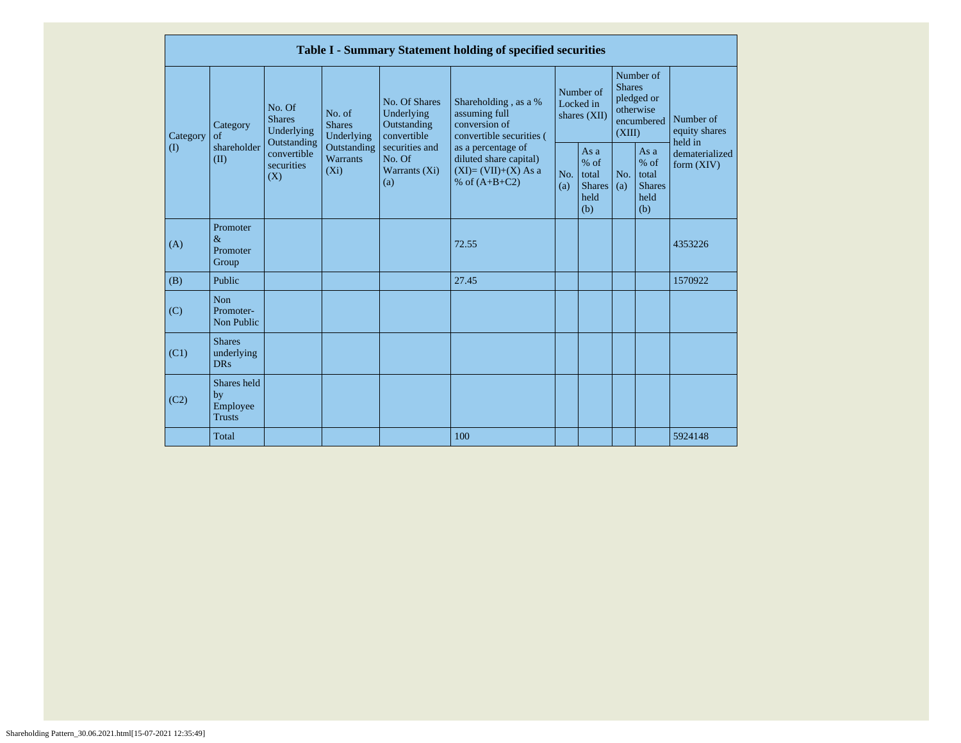|                 |                                                |                                                                                          |                                       |                                                                                                                                                                                           | Table I - Summary Statement holding of specified securities                              |            |                                                                               |            |                                                         |                                |
|-----------------|------------------------------------------------|------------------------------------------------------------------------------------------|---------------------------------------|-------------------------------------------------------------------------------------------------------------------------------------------------------------------------------------------|------------------------------------------------------------------------------------------|------------|-------------------------------------------------------------------------------|------------|---------------------------------------------------------|--------------------------------|
| Category<br>(1) | Category<br>$\sigma$ f<br>shareholder<br>(II)  | No. Of<br><b>Shares</b><br>Underlying<br>Outstanding<br>convertible<br>securities<br>(X) | No. of<br><b>Shares</b><br>Underlying | Number of<br>No. Of Shares<br>Shareholding, as a %<br>Locked in<br>Underlying<br>assuming full<br>shares (XII)<br>conversion of<br>Outstanding<br>convertible<br>convertible securities ( |                                                                                          |            | Number of<br><b>Shares</b><br>pledged or<br>otherwise<br>encumbered<br>(XIII) |            | Number of<br>equity shares<br>held in                   |                                |
|                 |                                                |                                                                                          | Outstanding<br>Warrants<br>$(X_i)$    | securities and<br>No. Of<br>Warrants $(X_i)$<br>(a)                                                                                                                                       | as a percentage of<br>diluted share capital)<br>$(XI)=(VII)+(X) As a$<br>% of $(A+B+C2)$ | No.<br>(a) | As a<br>$%$ of<br>total<br><b>Shares</b><br>held<br>(b)                       | No.<br>(a) | As a<br>$%$ of<br>total<br><b>Shares</b><br>held<br>(b) | dematerialized<br>form $(XIV)$ |
| (A)             | Promoter<br>$\&$<br>Promoter<br>Group          |                                                                                          |                                       |                                                                                                                                                                                           | 72.55                                                                                    |            |                                                                               |            |                                                         | 4353226                        |
| (B)             | Public                                         |                                                                                          |                                       |                                                                                                                                                                                           | 27.45                                                                                    |            |                                                                               |            |                                                         | 1570922                        |
| (C)             | <b>Non</b><br>Promoter-<br>Non Public          |                                                                                          |                                       |                                                                                                                                                                                           |                                                                                          |            |                                                                               |            |                                                         |                                |
| (C1)            | <b>Shares</b><br>underlying<br><b>DRs</b>      |                                                                                          |                                       |                                                                                                                                                                                           |                                                                                          |            |                                                                               |            |                                                         |                                |
| (C2)            | Shares held<br>by<br>Employee<br><b>Trusts</b> |                                                                                          |                                       |                                                                                                                                                                                           |                                                                                          |            |                                                                               |            |                                                         |                                |
|                 | Total                                          |                                                                                          |                                       |                                                                                                                                                                                           | 100                                                                                      |            |                                                                               |            |                                                         | 5924148                        |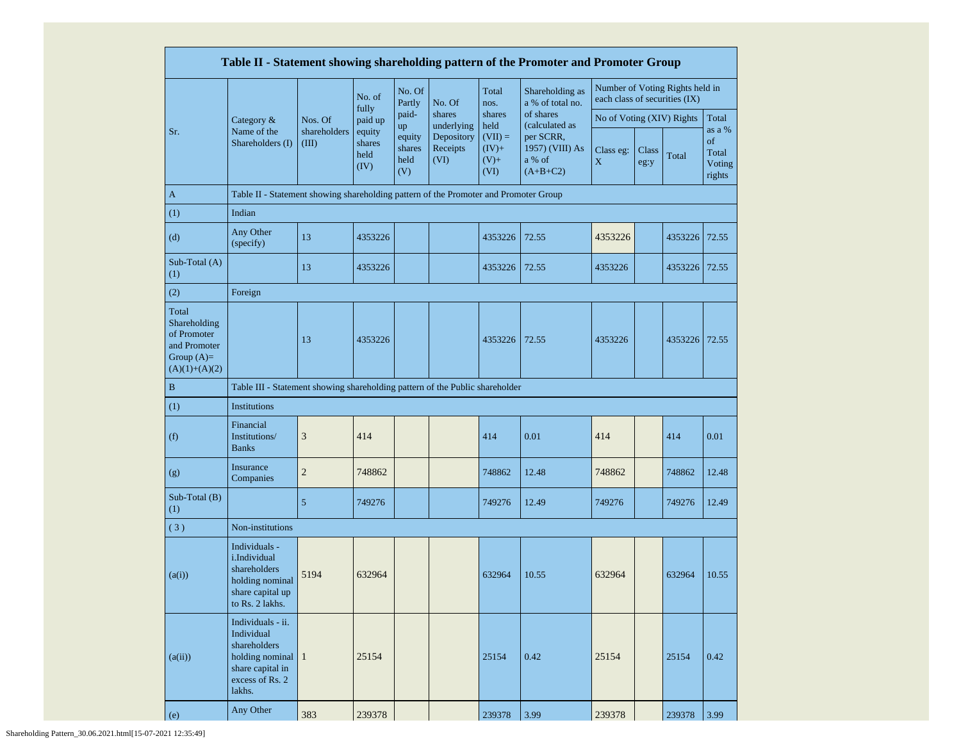|                                                                                         | Table II - Statement showing shareholding pattern of the Promoter and Promoter Group                                |                       |                                  |                                       |                                              |                                                 |                                                                        |                               |               |                                 |                                           |
|-----------------------------------------------------------------------------------------|---------------------------------------------------------------------------------------------------------------------|-----------------------|----------------------------------|---------------------------------------|----------------------------------------------|-------------------------------------------------|------------------------------------------------------------------------|-------------------------------|---------------|---------------------------------|-------------------------------------------|
|                                                                                         |                                                                                                                     |                       | No. of                           | No. Of<br>Partly                      | No. Of                                       | Total<br>nos.                                   | Shareholding as<br>a % of total no.                                    | each class of securities (IX) |               | Number of Voting Rights held in |                                           |
|                                                                                         | Category $\&$                                                                                                       | Nos. Of               | fully<br>paid up                 | paid-                                 | shares                                       | shares                                          | of shares                                                              | No of Voting (XIV) Rights     |               |                                 | Total                                     |
| Sr.                                                                                     | Name of the<br>Shareholders (I)                                                                                     | shareholders<br>(III) | equity<br>shares<br>held<br>(IV) | up<br>equity<br>shares<br>held<br>(V) | underlying<br>Depository<br>Receipts<br>(VI) | held<br>$(VII) =$<br>$(IV)+$<br>$(V)$ +<br>(VI) | (calculated as<br>per SCRR,<br>1957) (VIII) As<br>a % of<br>$(A+B+C2)$ | Class eg:<br>$\mathbf X$      | Class<br>eg:y | Total                           | as a %<br>of<br>Total<br>Voting<br>rights |
| A                                                                                       | Table II - Statement showing shareholding pattern of the Promoter and Promoter Group                                |                       |                                  |                                       |                                              |                                                 |                                                                        |                               |               |                                 |                                           |
| (1)                                                                                     | Indian                                                                                                              |                       |                                  |                                       |                                              |                                                 |                                                                        |                               |               |                                 |                                           |
| (d)                                                                                     | Any Other<br>(specify)                                                                                              | 13                    | 4353226                          |                                       |                                              | 4353226                                         | 72.55                                                                  | 4353226                       |               | 4353226                         | 72.55                                     |
| Sub-Total (A)<br>(1)                                                                    |                                                                                                                     | 13                    | 4353226                          |                                       |                                              | 4353226                                         | 72.55                                                                  | 4353226                       |               | 4353226                         | 72.55                                     |
| (2)                                                                                     | Foreign                                                                                                             |                       |                                  |                                       |                                              |                                                 |                                                                        |                               |               |                                 |                                           |
| Total<br>Shareholding<br>of Promoter<br>and Promoter<br>Group $(A)=$<br>$(A)(1)+(A)(2)$ |                                                                                                                     | 13                    | 4353226                          |                                       |                                              | 4353226                                         | 72.55                                                                  | 4353226                       |               | 4353226                         | 72.55                                     |
| B                                                                                       | Table III - Statement showing shareholding pattern of the Public shareholder                                        |                       |                                  |                                       |                                              |                                                 |                                                                        |                               |               |                                 |                                           |
| (1)                                                                                     | Institutions                                                                                                        |                       |                                  |                                       |                                              |                                                 |                                                                        |                               |               |                                 |                                           |
| (f)                                                                                     | Financial<br>Institutions/<br><b>Banks</b>                                                                          | 3                     | 414                              |                                       |                                              | 414                                             | 0.01                                                                   | 414                           |               | 414                             | 0.01                                      |
| (g)                                                                                     | Insurance<br>Companies                                                                                              | $\sqrt{2}$            | 748862                           |                                       |                                              | 748862                                          | 12.48                                                                  | 748862                        |               | 748862                          | 12.48                                     |
| Sub-Total (B)<br>(1)                                                                    |                                                                                                                     | 5                     | 749276                           |                                       |                                              | 749276                                          | 12.49                                                                  | 749276                        |               | 749276                          | 12.49                                     |
| (3)                                                                                     | Non-institutions                                                                                                    |                       |                                  |                                       |                                              |                                                 |                                                                        |                               |               |                                 |                                           |
| (a(i))                                                                                  | Individuals -<br>i.Individual<br>shareholders<br>holding nominal<br>share capital up<br>to Rs. 2 lakhs.             | 5194                  | 632964                           |                                       |                                              | 632964                                          | 10.55                                                                  | 632964                        |               | 632964                          | 10.55                                     |
| (a(ii))                                                                                 | Individuals - ii.<br>Individual<br>shareholders<br>holding nominal<br>share capital in<br>excess of Rs. 2<br>lakhs. | $\mathbf{1}$          | 25154                            |                                       |                                              | 25154                                           | 0.42                                                                   | 25154                         |               | 25154                           | 0.42                                      |
| (e)                                                                                     | Any Other                                                                                                           | 383                   | 239378                           |                                       |                                              | 239378                                          | 3.99                                                                   | 239378                        |               | 239378                          | 3.99                                      |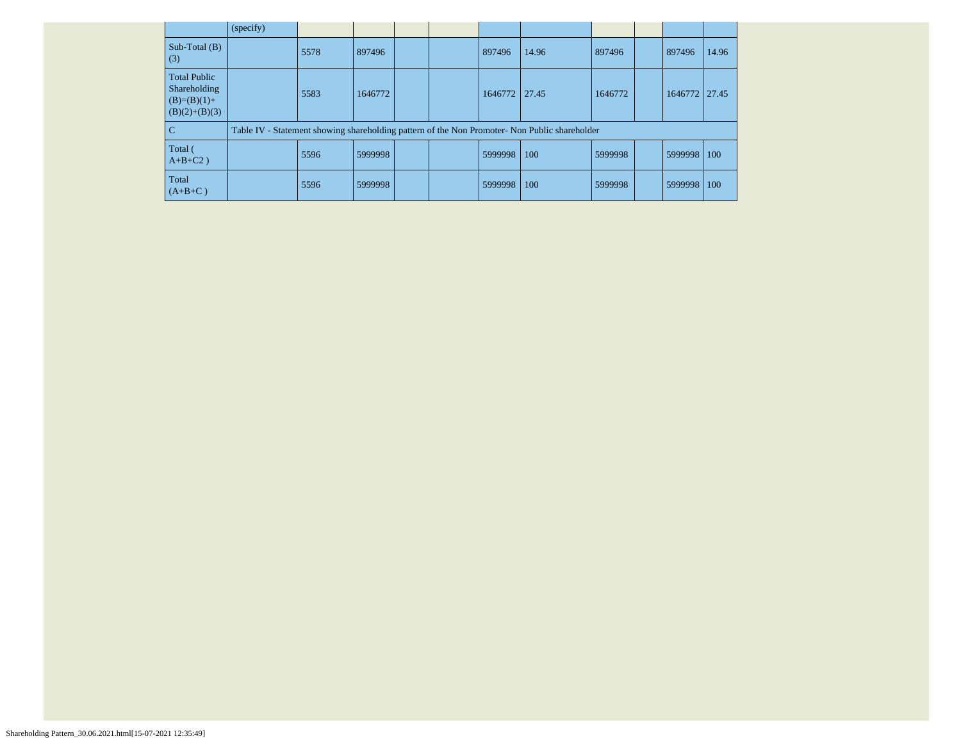|                                                                         | (specify) |      |         |  |         |                                                                                               |         |         |       |
|-------------------------------------------------------------------------|-----------|------|---------|--|---------|-----------------------------------------------------------------------------------------------|---------|---------|-------|
| Sub-Total $(B)$<br>(3)                                                  |           | 5578 | 897496  |  | 897496  | 14.96                                                                                         | 897496  | 897496  | 14.96 |
| <b>Total Public</b><br>Shareholding<br>$(B)=(B)(1)+$<br>$(B)(2)+(B)(3)$ |           | 5583 | 1646772 |  | 1646772 | 27.45                                                                                         | 1646772 | 1646772 | 27.45 |
| $\overline{C}$                                                          |           |      |         |  |         | Table IV - Statement showing shareholding pattern of the Non Promoter- Non Public shareholder |         |         |       |
| Total (<br>$A+B+C2$ )                                                   |           | 5596 | 5999998 |  | 5999998 | 100                                                                                           | 5999998 | 5999998 | 100   |
| Total<br>$(A+B+C)$                                                      |           | 5596 | 5999998 |  | 5999998 | 100                                                                                           | 5999998 | 5999998 | 100   |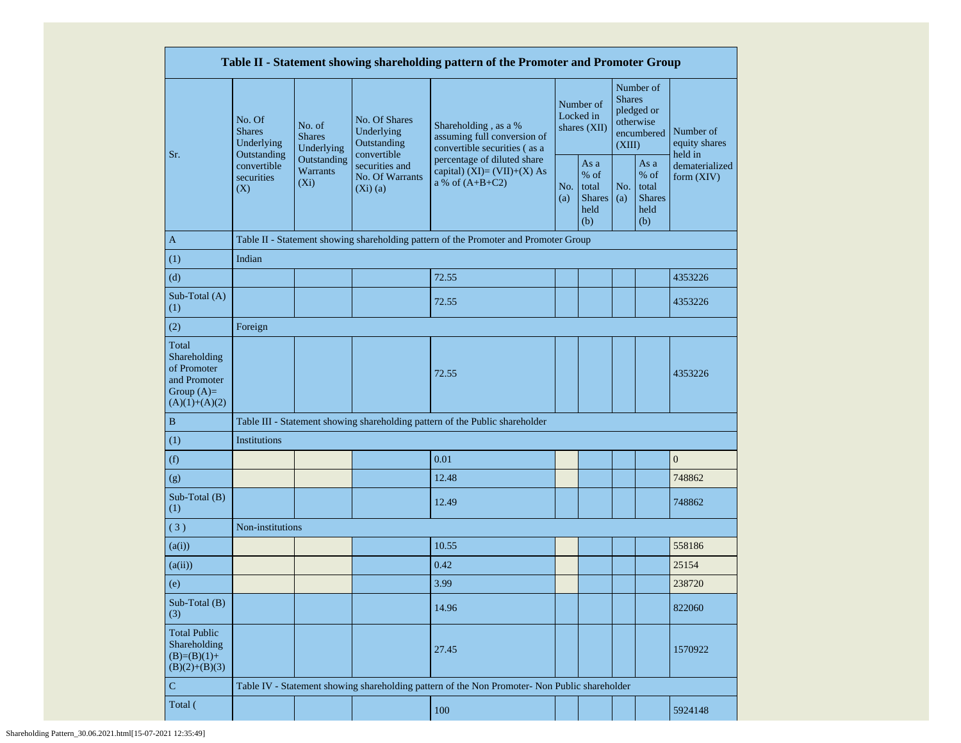|                                                                                         |                                                                        |                                       |                                                                                                                                                  | Table II - Statement showing shareholding pattern of the Promoter and Promoter Group          |  |                                                         |            |                                                                               |                                                                         |  |
|-----------------------------------------------------------------------------------------|------------------------------------------------------------------------|---------------------------------------|--------------------------------------------------------------------------------------------------------------------------------------------------|-----------------------------------------------------------------------------------------------|--|---------------------------------------------------------|------------|-------------------------------------------------------------------------------|-------------------------------------------------------------------------|--|
|                                                                                         | No. Of<br><b>Shares</b><br>Underlying<br>Outstanding                   | No. of<br><b>Shares</b><br>Underlying | No. Of Shares<br>Shareholding, as a %<br>Underlying<br>assuming full conversion of<br>Outstanding<br>convertible securities (as a<br>convertible |                                                                                               |  | Number of<br>Locked in<br>shares $(XII)$                |            | Number of<br><b>Shares</b><br>pledged or<br>otherwise<br>encumbered<br>(XIII) | Number of<br>equity shares<br>held in<br>dematerialized<br>form $(XIV)$ |  |
| Sr.                                                                                     | Outstanding<br>convertible<br>Warrants<br>securities<br>$(X_i)$<br>(X) |                                       | securities and<br>No. Of Warrants<br>$(Xi)$ (a)                                                                                                  | percentage of diluted share<br>capital) (XI)= $(VII)+(X)$ As<br>a % of $(A+B+C2)$             |  | As a<br>$%$ of<br>total<br><b>Shares</b><br>held<br>(b) | No.<br>(a) | As a<br>% of<br>total<br><b>Shares</b><br>held<br>(b)                         |                                                                         |  |
| $\mathbf{A}$                                                                            |                                                                        |                                       |                                                                                                                                                  | Table II - Statement showing shareholding pattern of the Promoter and Promoter Group          |  |                                                         |            |                                                                               |                                                                         |  |
| (1)                                                                                     | Indian                                                                 |                                       |                                                                                                                                                  |                                                                                               |  |                                                         |            |                                                                               |                                                                         |  |
| (d)                                                                                     |                                                                        |                                       |                                                                                                                                                  | 72.55                                                                                         |  |                                                         |            |                                                                               | 4353226                                                                 |  |
| Sub-Total (A)<br>(1)                                                                    |                                                                        |                                       |                                                                                                                                                  | 72.55                                                                                         |  |                                                         |            |                                                                               | 4353226                                                                 |  |
| (2)                                                                                     | Foreign                                                                |                                       |                                                                                                                                                  |                                                                                               |  |                                                         |            |                                                                               |                                                                         |  |
| Total<br>Shareholding<br>of Promoter<br>and Promoter<br>Group $(A)=$<br>$(A)(1)+(A)(2)$ | 72.55                                                                  |                                       |                                                                                                                                                  |                                                                                               |  |                                                         |            | 4353226                                                                       |                                                                         |  |
| B                                                                                       |                                                                        |                                       |                                                                                                                                                  | Table III - Statement showing shareholding pattern of the Public shareholder                  |  |                                                         |            |                                                                               |                                                                         |  |
| (1)                                                                                     | Institutions                                                           |                                       |                                                                                                                                                  |                                                                                               |  |                                                         |            |                                                                               |                                                                         |  |
| (f)                                                                                     |                                                                        |                                       |                                                                                                                                                  | 0.01                                                                                          |  |                                                         |            |                                                                               | $\boldsymbol{0}$                                                        |  |
| (g)                                                                                     |                                                                        |                                       |                                                                                                                                                  | 12.48                                                                                         |  |                                                         |            |                                                                               | 748862                                                                  |  |
| Sub-Total (B)<br>(1)                                                                    |                                                                        |                                       |                                                                                                                                                  | 12.49                                                                                         |  |                                                         |            |                                                                               | 748862                                                                  |  |
| (3)                                                                                     | Non-institutions                                                       |                                       |                                                                                                                                                  |                                                                                               |  |                                                         |            |                                                                               |                                                                         |  |
| (a(i))                                                                                  |                                                                        |                                       |                                                                                                                                                  | 10.55                                                                                         |  |                                                         |            |                                                                               | 558186                                                                  |  |
| (a(ii))                                                                                 |                                                                        |                                       |                                                                                                                                                  | 0.42                                                                                          |  |                                                         |            |                                                                               | 25154                                                                   |  |
| (e)                                                                                     |                                                                        |                                       |                                                                                                                                                  | 3.99                                                                                          |  |                                                         |            |                                                                               | 238720                                                                  |  |
| Sub-Total (B)<br>(3)                                                                    |                                                                        |                                       |                                                                                                                                                  | 14.96                                                                                         |  |                                                         |            |                                                                               | 822060                                                                  |  |
| <b>Total Public</b><br>Shareholding<br>$(B)=(B)(1)+$<br>$(B)(2)+(B)(3)$                 | 27.45                                                                  |                                       |                                                                                                                                                  | 1570922                                                                                       |  |                                                         |            |                                                                               |                                                                         |  |
| ${\bf C}$                                                                               |                                                                        |                                       |                                                                                                                                                  | Table IV - Statement showing shareholding pattern of the Non Promoter- Non Public shareholder |  |                                                         |            |                                                                               |                                                                         |  |
| Total (                                                                                 |                                                                        |                                       |                                                                                                                                                  | 100                                                                                           |  |                                                         |            |                                                                               | 5924148                                                                 |  |

a stra a Brit a Brit

a ka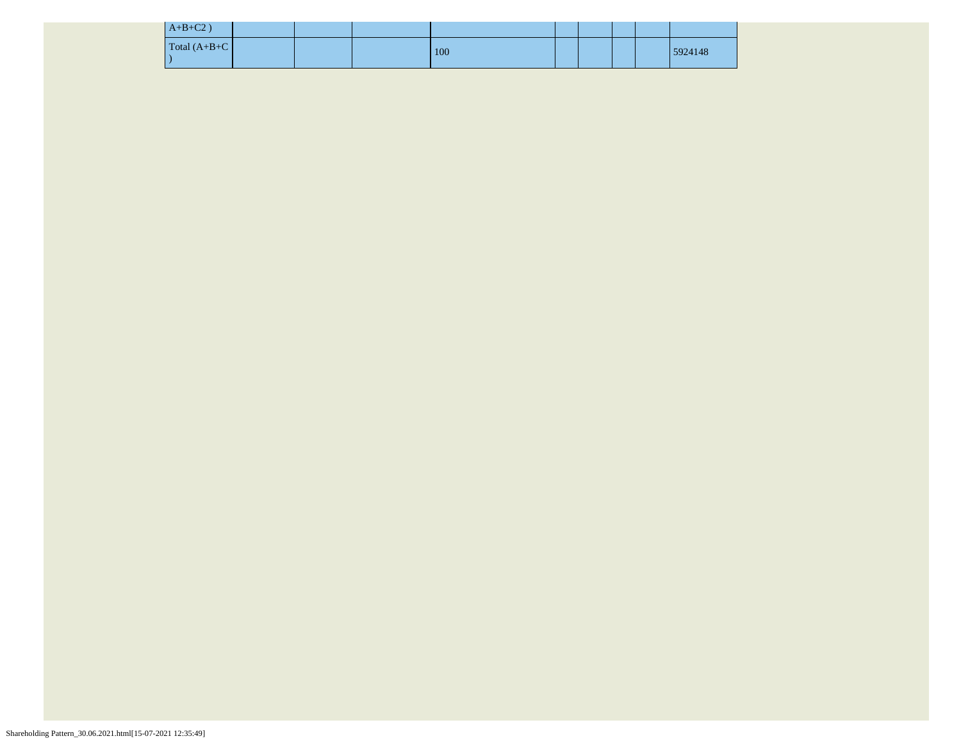| $A+B+C2$ )      |  |     |  |  |         |
|-----------------|--|-----|--|--|---------|
| Total $(A+B+C)$ |  | 100 |  |  | 5924148 |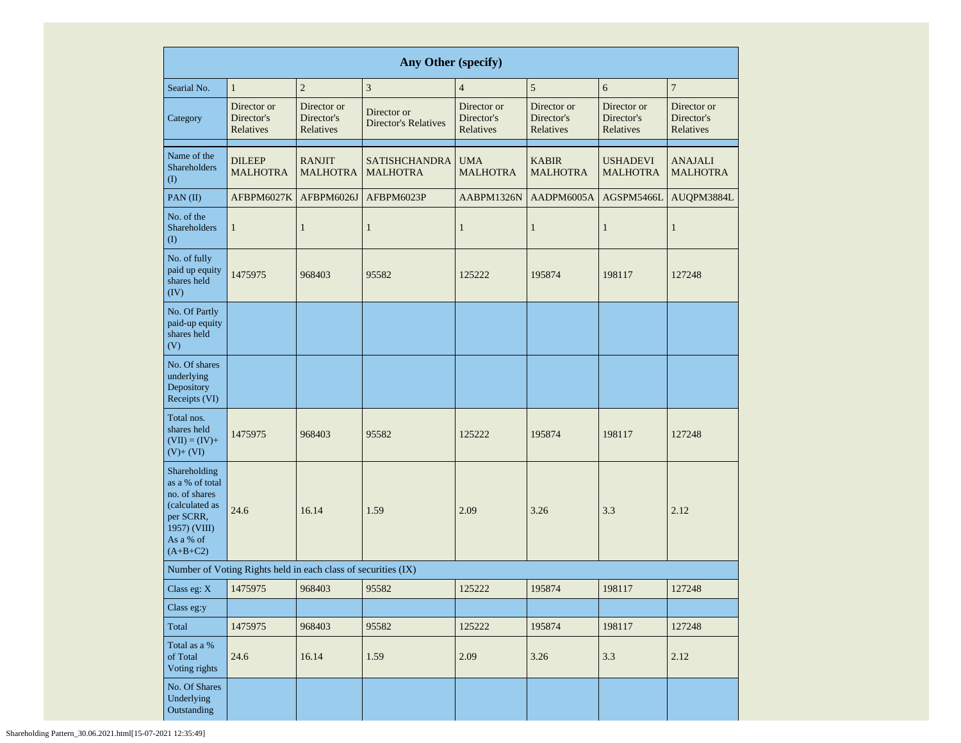|                                                                                                                            |                                                               |                                        | Any Other (specify)                        |                                        |                                        |                                        |                                        |
|----------------------------------------------------------------------------------------------------------------------------|---------------------------------------------------------------|----------------------------------------|--------------------------------------------|----------------------------------------|----------------------------------------|----------------------------------------|----------------------------------------|
| Searial No.                                                                                                                | $\mathbf{1}$                                                  | $\overline{c}$                         | 3                                          | $\overline{4}$                         | 5                                      | 6                                      | $\overline{7}$                         |
| Category                                                                                                                   | Director or<br>Director's<br>Relatives                        | Director or<br>Director's<br>Relatives | Director or<br><b>Director's Relatives</b> | Director or<br>Director's<br>Relatives | Director or<br>Director's<br>Relatives | Director or<br>Director's<br>Relatives | Director or<br>Director's<br>Relatives |
| Name of the<br>Shareholders<br>$($ I                                                                                       | <b>DILEEP</b><br><b>MALHOTRA</b>                              | <b>RANJIT</b><br><b>MALHOTRA</b>       | SATISHCHANDRA<br><b>MALHOTRA</b>           | UMA<br><b>MALHOTRA</b>                 | <b>KABIR</b><br><b>MALHOTRA</b>        | <b>USHADEVI</b><br><b>MALHOTRA</b>     | ANAJALI<br><b>MALHOTRA</b>             |
| PAN(II)                                                                                                                    | AFBPM6027K                                                    | AFBPM6026J                             | AFBPM6023P                                 | AABPM1326N                             | AADPM6005A                             | AGSPM5466L                             | AUQPM3884L                             |
| No. of the<br>Shareholders<br>$\rm(D)$                                                                                     | $\mathbf{1}$                                                  | $\mathbf{1}$                           | $\mathbf{1}$                               | $\mathbf{1}$                           | $\mathbf{1}$                           | $\mathbf{1}$                           | $\mathbf{1}$                           |
| No. of fully<br>paid up equity<br>shares held<br>(IV)                                                                      | 1475975                                                       | 968403                                 | 95582                                      | 125222                                 | 195874                                 | 198117                                 | 127248                                 |
| No. Of Partly<br>paid-up equity<br>shares held<br>(V)                                                                      |                                                               |                                        |                                            |                                        |                                        |                                        |                                        |
| No. Of shares<br>underlying<br>Depository<br>Receipts (VI)                                                                 |                                                               |                                        |                                            |                                        |                                        |                                        |                                        |
| Total nos.<br>shares held<br>$(VII) = (IV) +$<br>$(V)+(VI)$                                                                | 1475975                                                       | 968403                                 | 95582                                      | 125222                                 | 195874                                 | 198117                                 | 127248                                 |
| Shareholding<br>as a % of total<br>no. of shares<br>(calculated as<br>per SCRR,<br>1957) (VIII)<br>As a % of<br>$(A+B+C2)$ | 24.6                                                          | 16.14                                  | 1.59                                       | 2.09                                   | 3.26                                   | 3.3                                    | 2.12                                   |
|                                                                                                                            | Number of Voting Rights held in each class of securities (IX) |                                        |                                            |                                        |                                        |                                        |                                        |
| Class eg: X                                                                                                                | 1475975                                                       | 968403                                 | 95582                                      | 125222                                 | 195874                                 | 198117                                 | 127248                                 |
| Class eg:y                                                                                                                 |                                                               |                                        |                                            |                                        |                                        |                                        |                                        |
| Total                                                                                                                      | 1475975                                                       | 968403                                 | 95582                                      | 125222                                 | 195874                                 | 198117                                 | 127248                                 |
| Total as a %<br>of Total<br>Voting rights                                                                                  | 24.6                                                          | 16.14                                  | 1.59                                       | 2.09                                   | 3.26                                   | 3.3                                    | 2.12                                   |
| No. Of Shares<br>Underlying<br>Outstanding                                                                                 |                                                               |                                        |                                            |                                        |                                        |                                        |                                        |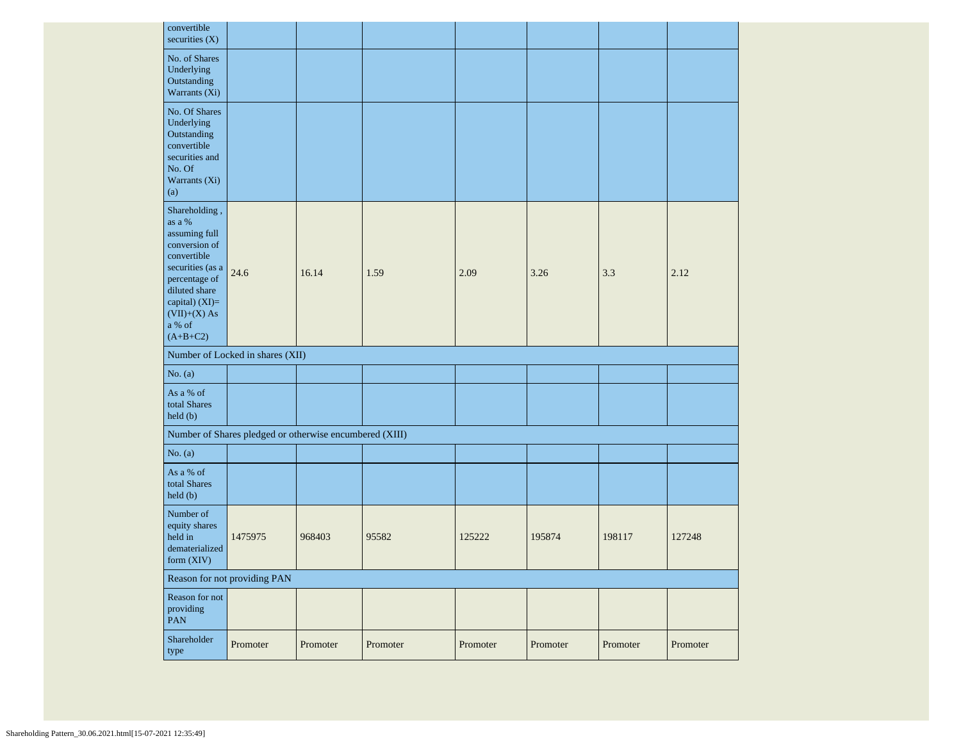| convertible<br>securities $(X)$                                                                                                                                                              |                                                         |        |       |        |        |        |        |
|----------------------------------------------------------------------------------------------------------------------------------------------------------------------------------------------|---------------------------------------------------------|--------|-------|--------|--------|--------|--------|
| No. of Shares<br>Underlying<br>Outstanding<br>Warrants (Xi)                                                                                                                                  |                                                         |        |       |        |        |        |        |
| No. Of Shares<br>Underlying<br>Outstanding<br>convertible<br>securities and<br>No. Of<br>Warrants (Xi)<br>(a)                                                                                |                                                         |        |       |        |        |        |        |
| Shareholding,<br>as a %<br>assuming full<br>conversion of<br>convertible<br>securities (as a<br>percentage of<br>diluted share<br>capital) $(XI)=$<br>$(VII)+(X)$ As<br>a % of<br>$(A+B+C2)$ | 24.6                                                    | 16.14  | 1.59  | 2.09   | 3.26   | 3.3    | 2.12   |
|                                                                                                                                                                                              |                                                         |        |       |        |        |        |        |
|                                                                                                                                                                                              | Number of Locked in shares (XII)                        |        |       |        |        |        |        |
| No. $(a)$                                                                                                                                                                                    |                                                         |        |       |        |        |        |        |
| As a % of<br>total Shares<br>held (b)                                                                                                                                                        |                                                         |        |       |        |        |        |        |
|                                                                                                                                                                                              | Number of Shares pledged or otherwise encumbered (XIII) |        |       |        |        |        |        |
| No. $(a)$                                                                                                                                                                                    |                                                         |        |       |        |        |        |        |
| As a % of<br>total Shares<br>held (b)                                                                                                                                                        |                                                         |        |       |        |        |        |        |
| Number of<br>equity shares<br>held in<br>dematerialized<br>form (XIV)                                                                                                                        | 1475975                                                 | 968403 | 95582 | 125222 | 195874 | 198117 | 127248 |
|                                                                                                                                                                                              | Reason for not providing PAN                            |        |       |        |        |        |        |
| Reason for not<br>providing<br>PAN                                                                                                                                                           |                                                         |        |       |        |        |        |        |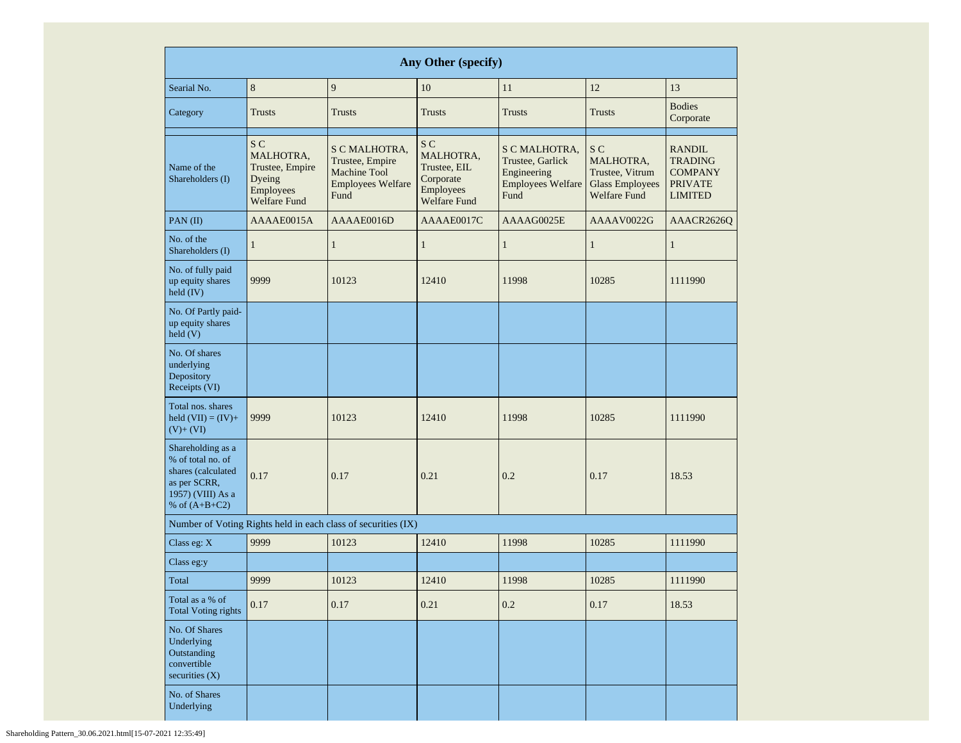| Any Other (specify)                                                                                                  |                                                                                   |                                                                                             |                                                                                   |                                                                               |                                                                                      |                                                                                       |  |  |  |  |  |
|----------------------------------------------------------------------------------------------------------------------|-----------------------------------------------------------------------------------|---------------------------------------------------------------------------------------------|-----------------------------------------------------------------------------------|-------------------------------------------------------------------------------|--------------------------------------------------------------------------------------|---------------------------------------------------------------------------------------|--|--|--|--|--|
| Searial No.                                                                                                          | 8                                                                                 | 9                                                                                           | 10                                                                                | 11                                                                            | 12                                                                                   | 13                                                                                    |  |  |  |  |  |
| Category                                                                                                             | <b>Trusts</b>                                                                     | <b>Trusts</b>                                                                               | <b>Trusts</b>                                                                     | Trusts                                                                        | <b>Trusts</b>                                                                        | <b>Bodies</b><br>Corporate                                                            |  |  |  |  |  |
| Name of the<br>Shareholders (I)                                                                                      | S C<br>MALHOTRA,<br>Trustee, Empire<br>Dyeing<br>Employees<br><b>Welfare Fund</b> | S C MALHOTRA,<br>Trustee, Empire<br><b>Machine Tool</b><br><b>Employees Welfare</b><br>Fund | S C<br>MALHOTRA,<br>Trustee, EIL<br>Corporate<br>Employees<br><b>Welfare Fund</b> | S C MALHOTRA,<br>Trustee, Garlick<br>Engineering<br>Employees Welfare<br>Fund | S C<br>MALHOTRA,<br>Trustee, Vitrum<br><b>Glass Employees</b><br><b>Welfare Fund</b> | <b>RANDIL</b><br><b>TRADING</b><br><b>COMPANY</b><br><b>PRIVATE</b><br><b>LIMITED</b> |  |  |  |  |  |
| $PAN$ (II)                                                                                                           | AAAAE0015A                                                                        | AAAAE0016D                                                                                  | AAAAE0017C                                                                        | AAAAG0025E                                                                    | AAAAV0022G                                                                           | AAACR2626Q                                                                            |  |  |  |  |  |
| No. of the<br>Shareholders (I)                                                                                       | $\mathbf{1}$                                                                      | $\mathbf{1}$                                                                                | $\mathbf{1}$                                                                      | $\mathbf{1}$                                                                  | $\mathbf{1}$                                                                         | $\mathbf{1}$                                                                          |  |  |  |  |  |
| No. of fully paid<br>up equity shares<br>held $(IV)$                                                                 | 9999                                                                              | 10123                                                                                       | 12410                                                                             | 11998                                                                         | 10285                                                                                | 1111990                                                                               |  |  |  |  |  |
| No. Of Partly paid-<br>up equity shares<br>held (V)                                                                  |                                                                                   |                                                                                             |                                                                                   |                                                                               |                                                                                      |                                                                                       |  |  |  |  |  |
| No. Of shares<br>underlying<br>Depository<br>Receipts (VI)                                                           |                                                                                   |                                                                                             |                                                                                   |                                                                               |                                                                                      |                                                                                       |  |  |  |  |  |
| Total nos. shares<br>held $(VII) = (IV) +$<br>$(V) + (VI)$                                                           | 9999                                                                              | 10123                                                                                       | 12410                                                                             | 11998                                                                         | 10285                                                                                | 1111990                                                                               |  |  |  |  |  |
| Shareholding as a<br>% of total no. of<br>shares (calculated<br>as per SCRR,<br>1957) (VIII) As a<br>% of $(A+B+C2)$ | 0.17                                                                              | 0.17                                                                                        | 0.21                                                                              | 0.2                                                                           | 0.17                                                                                 | 18.53                                                                                 |  |  |  |  |  |
|                                                                                                                      |                                                                                   | Number of Voting Rights held in each class of securities (IX)                               |                                                                                   |                                                                               |                                                                                      |                                                                                       |  |  |  |  |  |
| Class eg: X                                                                                                          | 9999                                                                              | 10123                                                                                       | 12410                                                                             | 11998                                                                         | 10285                                                                                | 1111990                                                                               |  |  |  |  |  |
| Class eg:y                                                                                                           |                                                                                   |                                                                                             |                                                                                   |                                                                               |                                                                                      |                                                                                       |  |  |  |  |  |
| Total                                                                                                                | 9999                                                                              | 10123                                                                                       | 12410                                                                             | 11998                                                                         | 10285                                                                                | 1111990                                                                               |  |  |  |  |  |
| Total as a % of<br><b>Total Voting rights</b>                                                                        | 0.17                                                                              | 0.17                                                                                        | 0.21                                                                              | $0.2\,$                                                                       | 0.17                                                                                 | 18.53                                                                                 |  |  |  |  |  |
| No. Of Shares<br>Underlying<br>Outstanding<br>convertible<br>securities $(X)$                                        |                                                                                   |                                                                                             |                                                                                   |                                                                               |                                                                                      |                                                                                       |  |  |  |  |  |
| No. of Shares<br>Underlying                                                                                          |                                                                                   |                                                                                             |                                                                                   |                                                                               |                                                                                      |                                                                                       |  |  |  |  |  |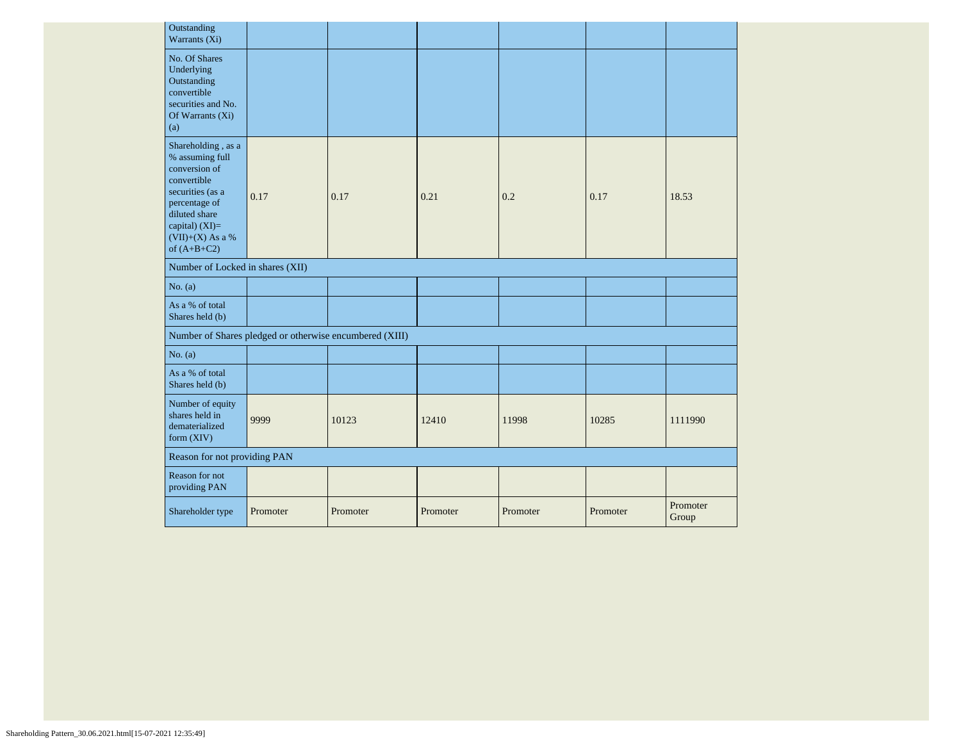| Outstanding<br>Warrants (Xi)                                                                                                                                                         |          |                                                         |          |          |          |                   |
|--------------------------------------------------------------------------------------------------------------------------------------------------------------------------------------|----------|---------------------------------------------------------|----------|----------|----------|-------------------|
| No. Of Shares<br>Underlying<br>Outstanding<br>convertible<br>securities and No.<br>Of Warrants (Xi)<br>(a)                                                                           |          |                                                         |          |          |          |                   |
| Shareholding, as a<br>% assuming full<br>conversion of<br>convertible<br>securities (as a<br>percentage of<br>diluted share<br>capital) $(XI)=$<br>(VII)+(X) As a %<br>of $(A+B+C2)$ | 0.17     | 0.17                                                    | 0.21     | 0.2      | 0.17     | 18.53             |
| Number of Locked in shares (XII)                                                                                                                                                     |          |                                                         |          |          |          |                   |
| No. $(a)$                                                                                                                                                                            |          |                                                         |          |          |          |                   |
| As a % of total<br>Shares held (b)                                                                                                                                                   |          |                                                         |          |          |          |                   |
|                                                                                                                                                                                      |          | Number of Shares pledged or otherwise encumbered (XIII) |          |          |          |                   |
| No. $(a)$                                                                                                                                                                            |          |                                                         |          |          |          |                   |
| As a % of total<br>Shares held (b)                                                                                                                                                   |          |                                                         |          |          |          |                   |
| Number of equity<br>shares held in<br>dematerialized<br>form (XIV)                                                                                                                   | 9999     | 10123                                                   | 12410    | 11998    | 10285    | 1111990           |
| Reason for not providing PAN                                                                                                                                                         |          |                                                         |          |          |          |                   |
| Reason for not<br>providing PAN                                                                                                                                                      |          |                                                         |          |          |          |                   |
| Shareholder type                                                                                                                                                                     | Promoter | Promoter                                                | Promoter | Promoter | Promoter | Promoter<br>Group |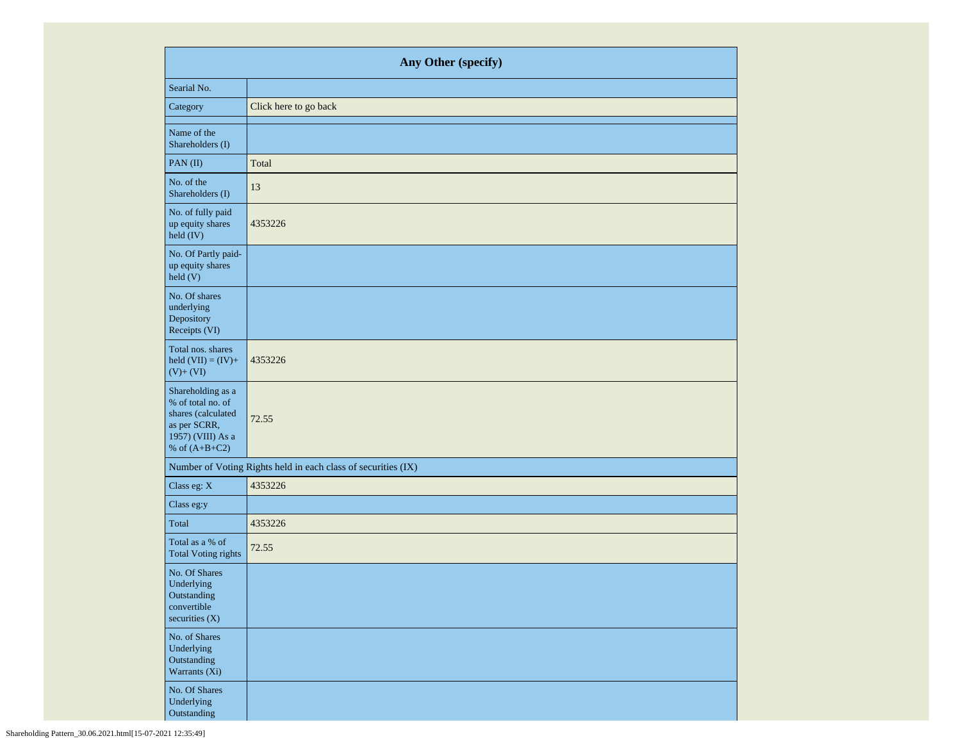| Any Other (specify)                                                                                                  |                                                               |  |  |  |  |  |  |
|----------------------------------------------------------------------------------------------------------------------|---------------------------------------------------------------|--|--|--|--|--|--|
| Searial No.                                                                                                          |                                                               |  |  |  |  |  |  |
| Category                                                                                                             | Click here to go back                                         |  |  |  |  |  |  |
| Name of the<br>Shareholders (I)                                                                                      |                                                               |  |  |  |  |  |  |
| PAN(II)                                                                                                              | Total                                                         |  |  |  |  |  |  |
| No. of the<br>Shareholders (I)                                                                                       | 13                                                            |  |  |  |  |  |  |
| No. of fully paid<br>up equity shares<br>held (IV)                                                                   | 4353226                                                       |  |  |  |  |  |  |
| No. Of Partly paid-<br>up equity shares<br>held (V)                                                                  |                                                               |  |  |  |  |  |  |
| No. Of shares<br>underlying<br>Depository<br>Receipts (VI)                                                           |                                                               |  |  |  |  |  |  |
| Total nos. shares<br>held $(VII) = (IV) +$<br>$(V)+(VI)$                                                             | 4353226                                                       |  |  |  |  |  |  |
| Shareholding as a<br>% of total no. of<br>shares (calculated<br>as per SCRR,<br>1957) (VIII) As a<br>% of $(A+B+C2)$ | 72.55                                                         |  |  |  |  |  |  |
|                                                                                                                      | Number of Voting Rights held in each class of securities (IX) |  |  |  |  |  |  |
| Class eg: X                                                                                                          | 4353226                                                       |  |  |  |  |  |  |
| Class eg:y                                                                                                           |                                                               |  |  |  |  |  |  |
| Total                                                                                                                | 4353226                                                       |  |  |  |  |  |  |
| Total as a % of<br><b>Total Voting rights</b>                                                                        | 72.55                                                         |  |  |  |  |  |  |
| No. Of Shares<br>Underlying<br>Outstanding<br>convertible<br>securities $(X)$                                        |                                                               |  |  |  |  |  |  |
| No. of Shares<br>Underlying<br>Outstanding<br>Warrants $(X_i)$                                                       |                                                               |  |  |  |  |  |  |
| No. Of Shares<br>Underlying<br>Outstanding                                                                           |                                                               |  |  |  |  |  |  |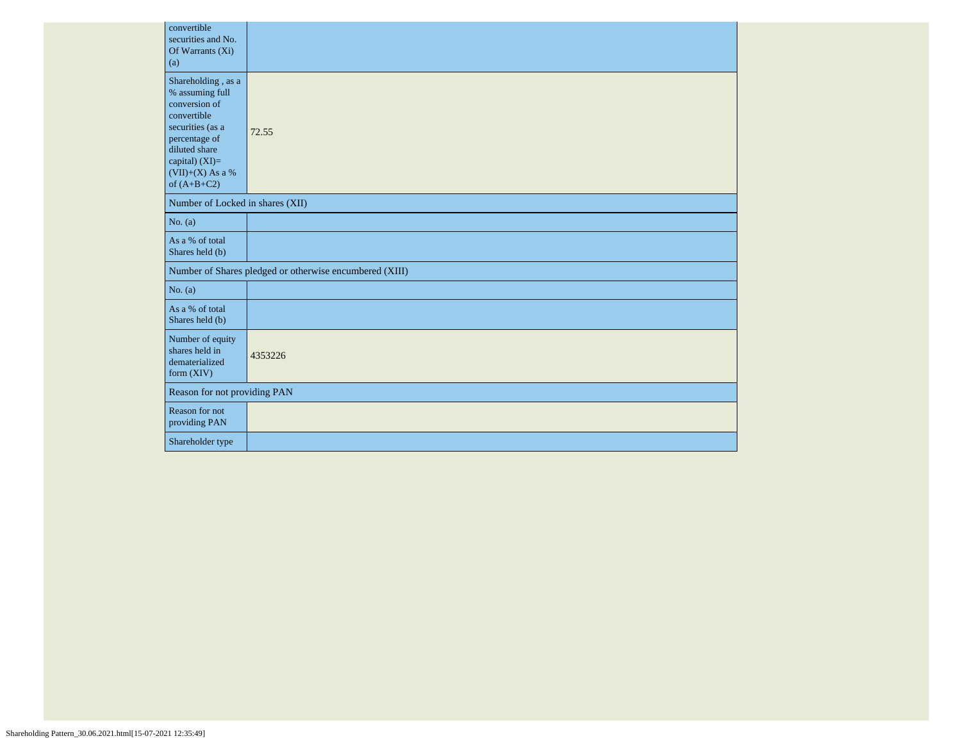| convertible<br>securities and No.<br>Of Warrants (Xi)<br>(a)                                                                                                                           |                                                         |  |  |  |  |  |  |  |
|----------------------------------------------------------------------------------------------------------------------------------------------------------------------------------------|---------------------------------------------------------|--|--|--|--|--|--|--|
| Shareholding, as a<br>% assuming full<br>conversion of<br>convertible<br>securities (as a<br>percentage of<br>diluted share<br>capital) $(XI)=$<br>$(VII)+(X)$ As a %<br>of $(A+B+C2)$ | 72.55                                                   |  |  |  |  |  |  |  |
| Number of Locked in shares (XII)                                                                                                                                                       |                                                         |  |  |  |  |  |  |  |
| No. (a)                                                                                                                                                                                |                                                         |  |  |  |  |  |  |  |
| As a % of total<br>Shares held (b)                                                                                                                                                     |                                                         |  |  |  |  |  |  |  |
|                                                                                                                                                                                        | Number of Shares pledged or otherwise encumbered (XIII) |  |  |  |  |  |  |  |
| No. (a)                                                                                                                                                                                |                                                         |  |  |  |  |  |  |  |
| As a % of total<br>Shares held (b)                                                                                                                                                     |                                                         |  |  |  |  |  |  |  |
| Number of equity<br>shares held in<br>dematerialized<br>form $(XIV)$                                                                                                                   | 4353226                                                 |  |  |  |  |  |  |  |
|                                                                                                                                                                                        | Reason for not providing PAN                            |  |  |  |  |  |  |  |
| Reason for not<br>providing PAN                                                                                                                                                        |                                                         |  |  |  |  |  |  |  |
| Shareholder type                                                                                                                                                                       |                                                         |  |  |  |  |  |  |  |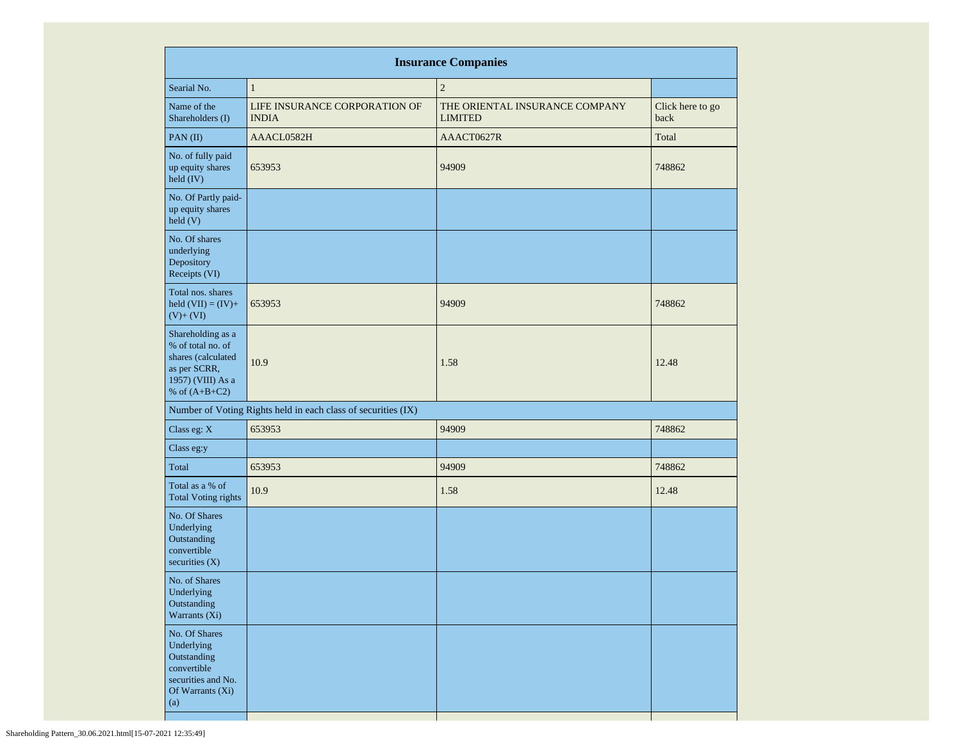| <b>Insurance Companies</b>                                                                                           |                                                               |                                                  |                          |  |  |  |  |  |  |  |  |
|----------------------------------------------------------------------------------------------------------------------|---------------------------------------------------------------|--------------------------------------------------|--------------------------|--|--|--|--|--|--|--|--|
| Searial No.                                                                                                          | $\mathbf{1}$                                                  | $\sqrt{2}$                                       |                          |  |  |  |  |  |  |  |  |
| Name of the<br>Shareholders (I)                                                                                      | LIFE INSURANCE CORPORATION OF<br><b>INDIA</b>                 | THE ORIENTAL INSURANCE COMPANY<br><b>LIMITED</b> | Click here to go<br>back |  |  |  |  |  |  |  |  |
| PAN $(II)$                                                                                                           | AAACL0582H                                                    | AAACT0627R                                       | Total                    |  |  |  |  |  |  |  |  |
| No. of fully paid<br>up equity shares<br>held (IV)                                                                   | 653953                                                        | 94909                                            | 748862                   |  |  |  |  |  |  |  |  |
| No. Of Partly paid-<br>up equity shares<br>held(V)                                                                   |                                                               |                                                  |                          |  |  |  |  |  |  |  |  |
| No. Of shares<br>underlying<br>Depository<br>Receipts (VI)                                                           |                                                               |                                                  |                          |  |  |  |  |  |  |  |  |
| Total nos. shares<br>held $(VII) = (IV) +$<br>$(V)+(VI)$                                                             | 653953                                                        | 94909                                            | 748862                   |  |  |  |  |  |  |  |  |
| Shareholding as a<br>% of total no. of<br>shares (calculated<br>as per SCRR,<br>1957) (VIII) As a<br>% of $(A+B+C2)$ | 10.9                                                          | 1.58                                             | 12.48                    |  |  |  |  |  |  |  |  |
|                                                                                                                      | Number of Voting Rights held in each class of securities (IX) |                                                  |                          |  |  |  |  |  |  |  |  |
| Class eg: X                                                                                                          | 653953                                                        | 94909                                            | 748862                   |  |  |  |  |  |  |  |  |
| Class eg:y                                                                                                           |                                                               |                                                  |                          |  |  |  |  |  |  |  |  |
| Total                                                                                                                | 653953                                                        | 94909                                            | 748862                   |  |  |  |  |  |  |  |  |
| Total as a % of<br><b>Total Voting rights</b>                                                                        | 10.9                                                          | 1.58                                             | 12.48                    |  |  |  |  |  |  |  |  |
| No. Of Shares<br>Underlying<br>Outstanding<br>convertible<br>securities (X)                                          |                                                               |                                                  |                          |  |  |  |  |  |  |  |  |
| No. of Shares<br>Underlying<br>Outstanding<br>Warrants (Xi)                                                          |                                                               |                                                  |                          |  |  |  |  |  |  |  |  |
| No. Of Shares<br>Underlying<br>Outstanding<br>convertible<br>securities and No.<br>Of Warrants (Xi)<br>(a)           |                                                               |                                                  |                          |  |  |  |  |  |  |  |  |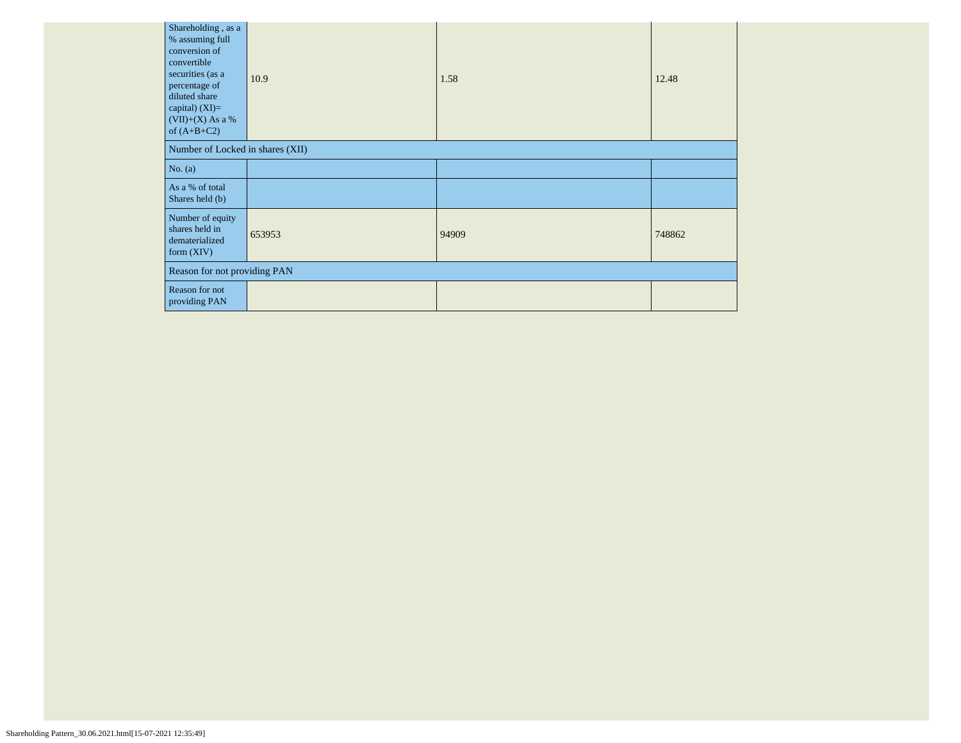| Shareholding, as a<br>% assuming full<br>conversion of<br>convertible<br>securities (as a<br>percentage of<br>diluted share<br>capital) $(XI)=$<br>$(VII)+(X)$ As a %<br>of $(A+B+C2)$ | 10.9   | 1.58  | 12.48  |  |  |  |  |  |
|----------------------------------------------------------------------------------------------------------------------------------------------------------------------------------------|--------|-------|--------|--|--|--|--|--|
| Number of Locked in shares (XII)                                                                                                                                                       |        |       |        |  |  |  |  |  |
| No. (a)                                                                                                                                                                                |        |       |        |  |  |  |  |  |
| As a % of total<br>Shares held (b)                                                                                                                                                     |        |       |        |  |  |  |  |  |
| Number of equity<br>shares held in<br>dematerialized<br>form $(XIV)$                                                                                                                   | 653953 | 94909 | 748862 |  |  |  |  |  |
| Reason for not providing PAN                                                                                                                                                           |        |       |        |  |  |  |  |  |
| Reason for not<br>providing PAN                                                                                                                                                        |        |       |        |  |  |  |  |  |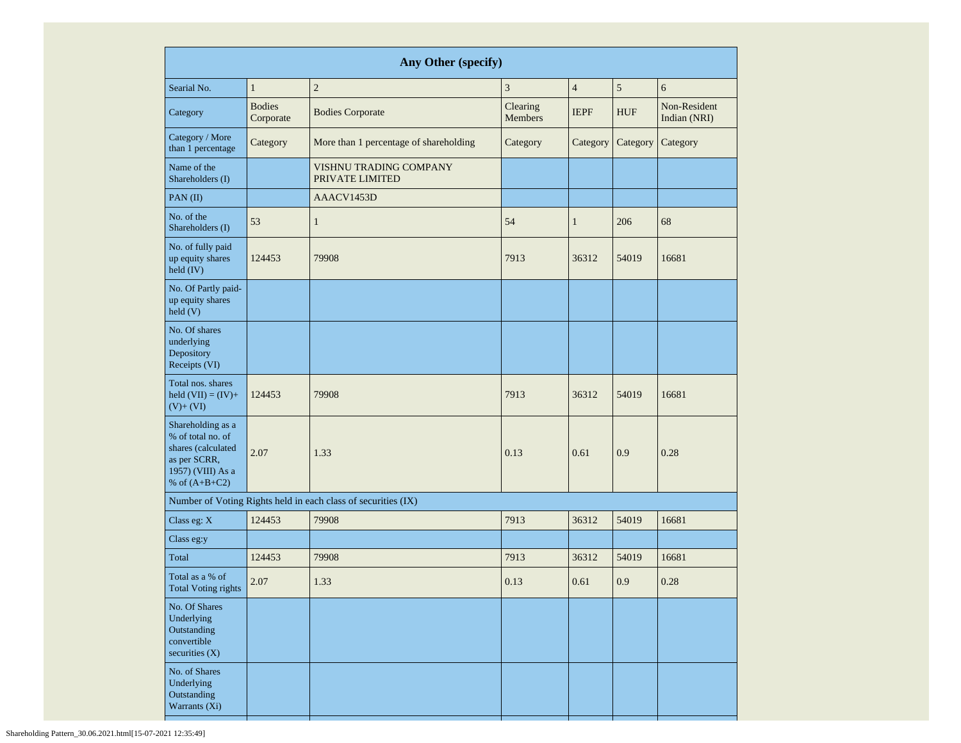| Any Other (specify)                                                                                                  |                            |                                                               |                            |                |            |                              |  |  |  |  |
|----------------------------------------------------------------------------------------------------------------------|----------------------------|---------------------------------------------------------------|----------------------------|----------------|------------|------------------------------|--|--|--|--|
| Searial No.                                                                                                          | $\mathbf{1}$               | $\overline{c}$                                                | 3                          | $\overline{4}$ | 5          | 6                            |  |  |  |  |
| Category                                                                                                             | <b>Bodies</b><br>Corporate | <b>Bodies Corporate</b>                                       | Clearing<br><b>Members</b> | <b>IEPF</b>    | <b>HUF</b> | Non-Resident<br>Indian (NRI) |  |  |  |  |
| Category / More<br>than 1 percentage                                                                                 | Category                   | More than 1 percentage of shareholding                        | Category                   | Category       | Category   | Category                     |  |  |  |  |
| Name of the<br>Shareholders (I)                                                                                      |                            | VISHNU TRADING COMPANY<br>PRIVATE LIMITED                     |                            |                |            |                              |  |  |  |  |
| PAN(II)                                                                                                              |                            | AAACV1453D                                                    |                            |                |            |                              |  |  |  |  |
| No. of the<br>Shareholders (I)                                                                                       | 53                         | $\mathbf{1}$                                                  | 54                         | $\mathbf{1}$   | 206        | 68                           |  |  |  |  |
| No. of fully paid<br>up equity shares<br>$held$ (IV)                                                                 | 124453                     | 79908                                                         | 7913                       | 36312          | 54019      | 16681                        |  |  |  |  |
| No. Of Partly paid-<br>up equity shares<br>held(V)                                                                   |                            |                                                               |                            |                |            |                              |  |  |  |  |
| No. Of shares<br>underlying<br>Depository<br>Receipts (VI)                                                           |                            |                                                               |                            |                |            |                              |  |  |  |  |
| Total nos. shares<br>held $(VII) = (IV) +$<br>$(V)+(VI)$                                                             | 124453                     | 79908                                                         | 7913                       | 36312          | 54019      | 16681                        |  |  |  |  |
| Shareholding as a<br>% of total no. of<br>shares (calculated<br>as per SCRR,<br>1957) (VIII) As a<br>% of $(A+B+C2)$ | 2.07                       | 1.33                                                          | 0.13                       | 0.61           | 0.9        | 0.28                         |  |  |  |  |
|                                                                                                                      |                            | Number of Voting Rights held in each class of securities (IX) |                            |                |            |                              |  |  |  |  |
| Class eg: X                                                                                                          | 124453                     | 79908                                                         | 7913                       | 36312          | 54019      | 16681                        |  |  |  |  |
| Class eg:y                                                                                                           |                            |                                                               |                            |                |            |                              |  |  |  |  |
| Total                                                                                                                | 124453                     | 79908                                                         | 7913                       | 36312          | 54019      | 16681                        |  |  |  |  |
| Total as a % of<br>2.07<br>Total Voting rights                                                                       |                            | 1.33                                                          | 0.13                       | 0.61           | 0.9        | 0.28                         |  |  |  |  |
| No. Of Shares<br>Underlying<br>Outstanding<br>convertible<br>securities $(X)$                                        |                            |                                                               |                            |                |            |                              |  |  |  |  |
| No. of Shares<br>Underlying<br>Outstanding<br>Warrants (Xi)                                                          |                            |                                                               |                            |                |            |                              |  |  |  |  |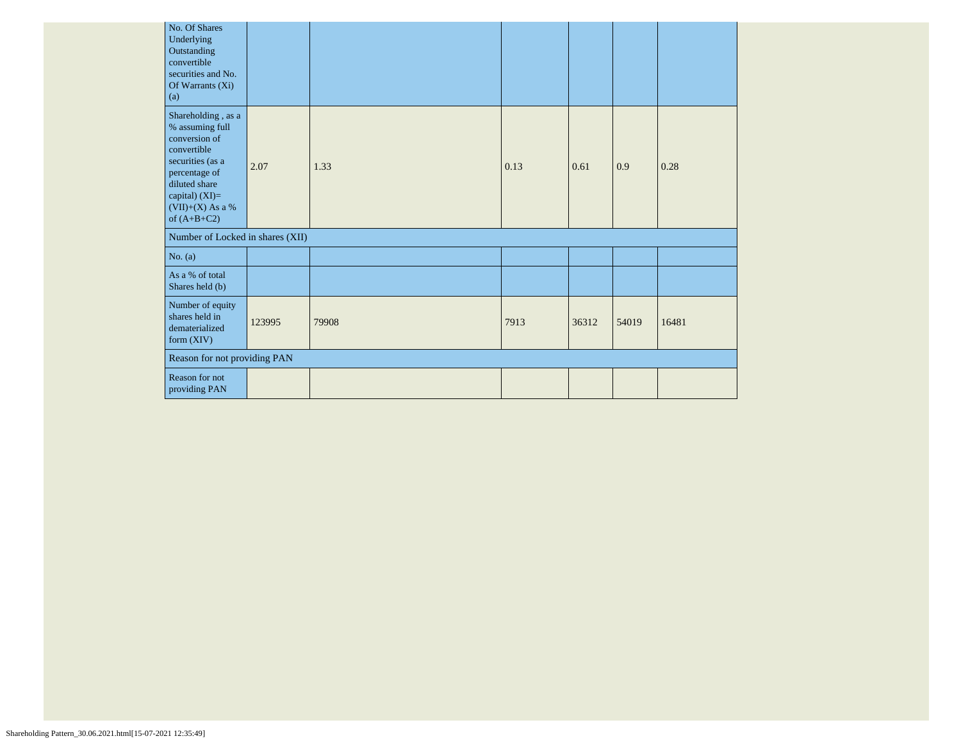| No. Of Shares<br>Underlying<br>Outstanding<br>convertible<br>securities and No.<br>Of Warrants (Xi)<br>(a)                                                                           |        |       |      |       |       |       |
|--------------------------------------------------------------------------------------------------------------------------------------------------------------------------------------|--------|-------|------|-------|-------|-------|
| Shareholding, as a<br>% assuming full<br>conversion of<br>convertible<br>securities (as a<br>percentage of<br>diluted share<br>capital) $(XI)=$<br>(VII)+(X) As a %<br>of $(A+B+C2)$ | 2.07   | 1.33  | 0.13 | 0.61  | 0.9   | 0.28  |
| Number of Locked in shares (XII)                                                                                                                                                     |        |       |      |       |       |       |
| No. $(a)$                                                                                                                                                                            |        |       |      |       |       |       |
| As a % of total<br>Shares held (b)                                                                                                                                                   |        |       |      |       |       |       |
| Number of equity<br>shares held in<br>dematerialized<br>form $(XIV)$                                                                                                                 | 123995 | 79908 | 7913 | 36312 | 54019 | 16481 |
| Reason for not providing PAN                                                                                                                                                         |        |       |      |       |       |       |
| <b>Reason for not</b><br>providing PAN                                                                                                                                               |        |       |      |       |       |       |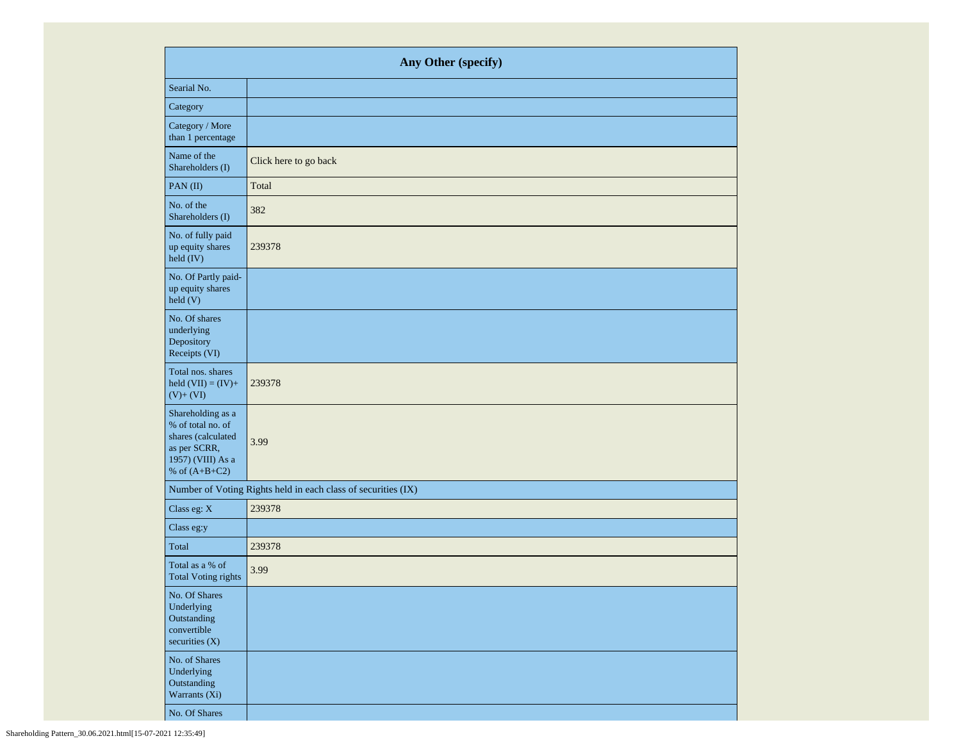|                                                                                                                      | Any Other (specify)                                           |  |  |  |  |  |  |  |  |
|----------------------------------------------------------------------------------------------------------------------|---------------------------------------------------------------|--|--|--|--|--|--|--|--|
| Searial No.                                                                                                          |                                                               |  |  |  |  |  |  |  |  |
| Category                                                                                                             |                                                               |  |  |  |  |  |  |  |  |
| Category / More<br>than 1 percentage                                                                                 |                                                               |  |  |  |  |  |  |  |  |
| Name of the<br>Shareholders (I)                                                                                      | Click here to go back                                         |  |  |  |  |  |  |  |  |
| PAN(II)                                                                                                              | Total                                                         |  |  |  |  |  |  |  |  |
| No. of the<br>Shareholders (I)                                                                                       | 382                                                           |  |  |  |  |  |  |  |  |
| No. of fully paid<br>up equity shares<br>held (IV)                                                                   | 239378                                                        |  |  |  |  |  |  |  |  |
| No. Of Partly paid-<br>up equity shares<br>held(V)                                                                   |                                                               |  |  |  |  |  |  |  |  |
| No. Of shares<br>underlying<br>Depository<br>Receipts (VI)                                                           |                                                               |  |  |  |  |  |  |  |  |
| Total nos. shares<br>held $(VII) = (IV) +$<br>$(V)+(VI)$                                                             | 239378                                                        |  |  |  |  |  |  |  |  |
| Shareholding as a<br>% of total no. of<br>shares (calculated<br>as per SCRR,<br>1957) (VIII) As a<br>% of $(A+B+C2)$ | 3.99                                                          |  |  |  |  |  |  |  |  |
|                                                                                                                      | Number of Voting Rights held in each class of securities (IX) |  |  |  |  |  |  |  |  |
| Class eg: X                                                                                                          | 239378                                                        |  |  |  |  |  |  |  |  |
| Class eg:y                                                                                                           |                                                               |  |  |  |  |  |  |  |  |
| Total                                                                                                                | 239378                                                        |  |  |  |  |  |  |  |  |
| Total as a % of<br><b>Total Voting rights</b>                                                                        | 3.99                                                          |  |  |  |  |  |  |  |  |
| No. Of Shares<br>Underlying<br>Outstanding<br>convertible<br>securities $(X)$                                        |                                                               |  |  |  |  |  |  |  |  |
| No. of Shares<br>Underlying<br>Outstanding<br>Warrants (Xi)                                                          |                                                               |  |  |  |  |  |  |  |  |
| No. Of Shares                                                                                                        |                                                               |  |  |  |  |  |  |  |  |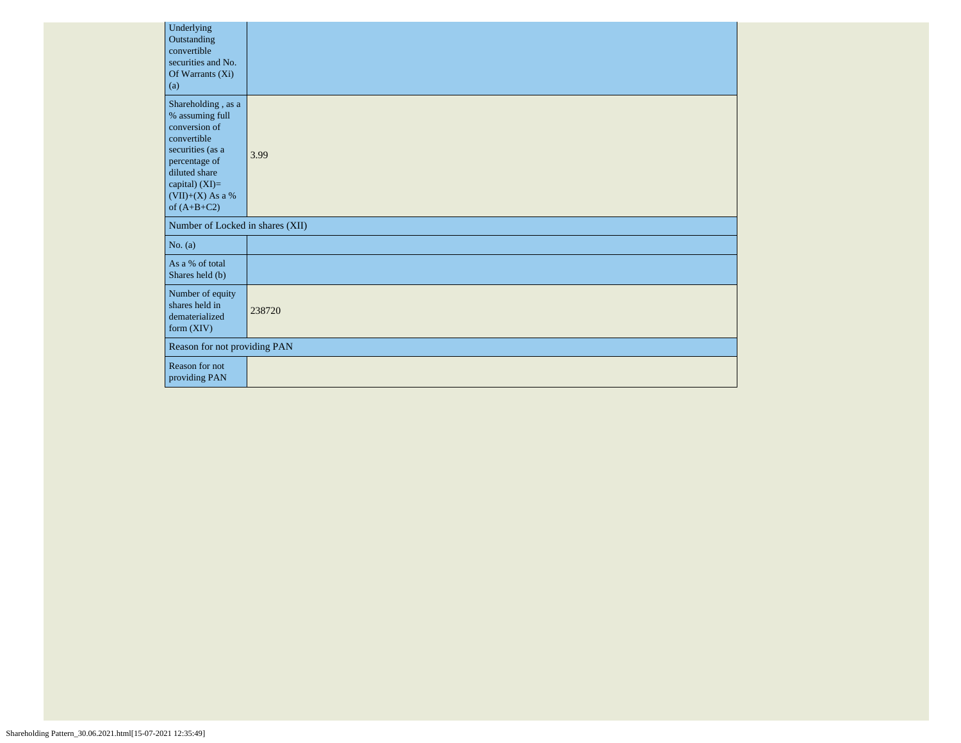| Underlying<br>Outstanding<br>convertible<br>securities and No.<br>Of Warrants (Xi)<br>(a)                                                                                            |        |
|--------------------------------------------------------------------------------------------------------------------------------------------------------------------------------------|--------|
| Shareholding, as a<br>% assuming full<br>conversion of<br>convertible<br>securities (as a<br>percentage of<br>diluted share<br>capital) (XI)=<br>$(VII)+(X)$ As a %<br>of $(A+B+C2)$ | 3.99   |
| Number of Locked in shares (XII)                                                                                                                                                     |        |
| No. $(a)$                                                                                                                                                                            |        |
| As a % of total<br>Shares held (b)                                                                                                                                                   |        |
| Number of equity<br>shares held in<br>dematerialized<br>form $(XIV)$                                                                                                                 | 238720 |
| Reason for not providing PAN                                                                                                                                                         |        |
| Reason for not<br>providing PAN                                                                                                                                                      |        |